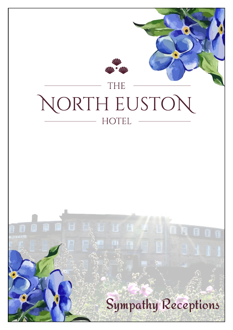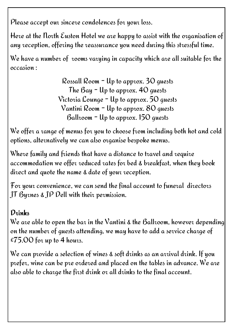Please accept our sincere condolences for your loss.

Here at the North Euston Hotel we are happy to assist with the organisation of any reception, offering the reassurance you need during this stressful time.

We have a number of rooms varying in capacity which are all suitable for the occasion :

> Rossall Room - Up to approx. 30 guests The  $\beta$ ay  $\overline{\phantom{a}}$  Up to approx. 40 quests Victoria Lounge - Up to approx. 50 guests Vantini Room - Up to approx. 80 guests Ballroom - Up to approx. 150 guests

We offer a range of menus for you to choose from including both hot and cold options, alternatively we can also organise bespoke menus.

Where family and friends that have a distance to travel and require accommodation we offer reduced rates for bed & breakfast, when they book direct and quote the name & date of your reception.

For your convenience, we can send the final account to funeral directors JT Byrnes & JP Dell with their permission.

# $D_{\gamma}$ inbs

We are able to open the bar in the Vantini & the Ballroom, however depending on the number of guests attending, we may have to add a service charge of £75.00 for up to 4 hours.

We can provide a selection of wines & soft drinks as an arrival drink. If you prefer, wine can be pre ordered and placed on the tables in advance. We are also able to charge the first drink or all drinks to the final account.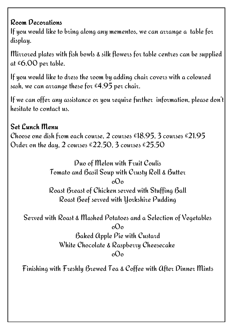### Room Decorations

If you would like to bring along any mementos, we can arrange a table for display.

Mirrored plates with fish bowls & silk flowers for table centres can be supplied at £6.00 per table.

If you would like to dress the room by adding chair covers with a coloured sash, we can arrange these for  $\epsilon$ 4.95 per chair.

If we can offer any assistance or you require further information, please don't hesitate to contact us.

#### Set Lunch Menu Choose one dish from each course, 2 courses  $\epsilon$ 18.95, 3 courses  $\epsilon$ 21.95 Order on the day, 2 courses  $£22.50, 3$  courses  $£25.50$

Duo of Melon with Fruit Coulis Tomato and Basil Soup with Crusty Roll & Butter oOo Roast Breast of Chicken served with Stuffing Ball Roast Beef served with Yorkshire Pudding

Served with Roast & Mashed Potatoes and a Selection of Vegetables

oOo Baked Apple Pie with Custard White Chocolate & Raspberry Cheesecake oOo

Finishing with Freshly Brewed Tea & Coffee with After Dinner Mints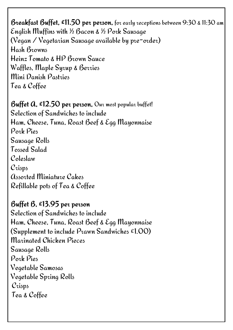Breakfast Buffet,  $£11.50$  per person, for early receptions between 9:30 & 11:30 am English Muffins with ½ Bacon & ½ Pork Sausage (Vegan / Vegetarian Sausage available by pre-order) Hash Browns Heinz Tomato & HP Brown Sauce Waffles, Maple Syrup & Berries Mini Danish Pastries Tea & Coffee

Buffet  $a$ , £12.50 per person, Our most popular buffet! Selection of Sandwiches to include Ham, Cheese, Tuna, Roast Beef & Egg Mayonnaise Pork Pies Sausage Rolls Tossed Salad Coleslaw Crisps Assorted Miniature Cakes Refillable pots of Tea & Coffee

Buffet B, £13.95 per person Selection of Sandwiches to include Ham, Cheese, Tuna, Roast Beef & Egg Mayonnaise (Supplement to include  $P$ tawn Sandwiches £1.00) Marinated Chicken Pieces Sausage Rolls Pork Pies Vegetable Samosas Vegetable Spring Rolls Crisps Tea & Coffee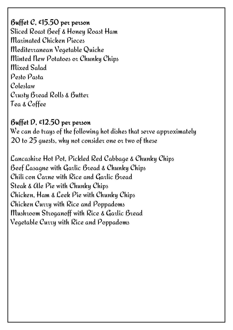Buffet C, £15.50 per person Sliced Roast Beef & Honey Roast Ham Marinated Chicken Pieces Mediterranean Vegetable Quiche Minted New Potatoes or Chunky Chips Mixed Salad Pesto Pasta Coleslaw Crusty Bread Rolls & Butter Tea & Coffee

Buffet D. £12.50 per person We can do trays of the following hot dishes that serve approximately 20 to 25 guests, why not consider one or two of these

Lancashire Hot Pot, Pickled Red Cabbage & Chunky Chips Beef Lasagne with Garlic Bread & Chunky Chips Chili con Carne with Rice and Garlic Bread Steak & Ale Pie with Chunky Chips Chicken, Ham & Leek Pie with Chunky Chips Chicken Curry with Rice and Poppadoms Mushroom Stroganoff with Rice & Garlic Bread Vegetable Curry with Rice and Poppadoms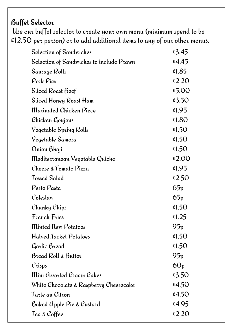# **Buffet Selector**

 Use our buffet selector to create your own menu (minimum spend to be  $£12.50$  per person) or to add additional items to any of our other menus.

| Selection of Sandwiches                  | £3.45           |
|------------------------------------------|-----------------|
| Selection of Sandwiches to include Prawn | £4.45           |
| Sausage Rolls                            | £1.85           |
| Pork Pies                                | £2.20           |
| Sliced Roast Beef                        | £5.00           |
| Sliced Honey Roast Ham                   | £3.50           |
| Marinated Chicken Piece                  | £1.95           |
| Chicken Goujons                          | £1.80           |
| Vegetable Spring Rolls                   | £1.50           |
| Vegetable Samosa                         | £1.50           |
| Onion Bhaji                              | £1.50           |
| Mediterranean Vegetable Quiche           | £2.00           |
| Cheese & Tomato Pizza                    | £1.95           |
| Tossed Salad                             | £2.50           |
|                                          |                 |
| Pesto Pasta                              | 65p             |
| Coleslaw                                 | 65p             |
| Chunky Chips                             | £1.50           |
| French Fries                             | £1.25           |
| Minted New Potatoes                      | 95p             |
| Halved Jacket Potatoes                   | £1.50           |
| Garlic Bread                             | £1.50           |
| Bread Roll & Butter                      | 95 <sub>p</sub> |
| $Cz$ isps                                | 60p             |
| Mini Assorted Cream Cakes                | £3.50           |
| White Chocolate & Raspberry Cheesecake   | £4.50           |
| Tarte au Citron                          | £4.50           |
| <b>Baked Apple Pie &amp; Custard</b>     | £4.95           |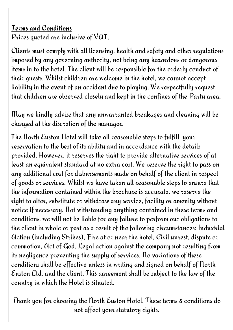### Terms and Conditions

Prices quoted are inclusive of VAT.

Clients must comply with all licensing, health and safety and other regulations imposed by any governing authority, not bring any hazardous or dangerous items in to the hotel. The client will be responsible for the orderly conduct of their guests. Whilst children are welcome in the hotel, we cannot accept liability in the event of an accident due to playing. We respectfully request that children are observed closely and kept in the confines of the Party area.

May we kindly advise that any unwarranted breakages and cleaning will be charged at the discretion of the manager.

The North Euston Hotel will take all reasonable steps to fulfill your reservation to the best of its ability and in accordance with the details provided. However, it reserves the right to provide alternative services of at least an equivalent standard at no extra cost. We reserve the right to pass on any additional cost for disbursements made on behalf of the client in respect of goods or services. Whilst we have taken all reasonable steps to ensure that the information contained within the brochure is accurate, we reserve the right to alter, substitute or withdraw any service, facility or amenity without notice if necessary. Not withstanding anything contained in these terms and conditions, we will not be liable for any failure to perform our obligations to the client in whole or part as a result of the following circumstances: Industrial Action (including Strikes), Fire at or near the hotel, Civil unrest, dispute or commotion, Act of God, Legal action against the company not resulting from its negligence preventing the supply of services. No variations of these conditions shall be effective unless in writing and signed on behalf of North Euston Ltd. and the client. This agreement shall be subject to the law of the country in which the Hotel is situated.

Thank you for choosing the North Euston Hotel. These terms & conditions do not affect your statutory rights.